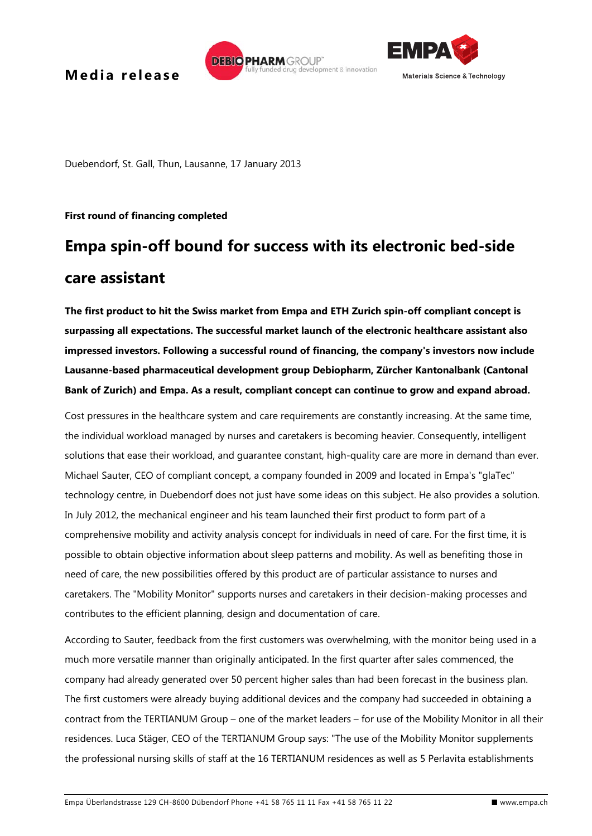# **Media** release fully funded drug development & innovation



Duebendorf, St. Gall, Thun, Lausanne, 17 January 2013

### **First round of financing completed**

# **Empa spin-off bound for success with its electronic bed-side care assistant**

**DEBIO PHARM GROUP** 

**The first product to hit the Swiss market from Empa and ETH Zurich spin-off compliant concept is surpassing all expectations. The successful market launch of the electronic healthcare assistant also impressed investors. Following a successful round of financing, the company's investors now include Lausanne-based pharmaceutical development group Debiopharm, Zürcher Kantonalbank (Cantonal Bank of Zurich) and Empa. As a result, compliant concept can continue to grow and expand abroad.** 

Cost pressures in the healthcare system and care requirements are constantly increasing. At the same time, the individual workload managed by nurses and caretakers is becoming heavier. Consequently, intelligent solutions that ease their workload, and guarantee constant, high-quality care are more in demand than ever. Michael Sauter, CEO of compliant concept, a company founded in 2009 and located in Empa's "glaTec" technology centre, in Duebendorf does not just have some ideas on this subject. He also provides a solution. In July 2012, the mechanical engineer and his team launched their first product to form part of a comprehensive mobility and activity analysis concept for individuals in need of care. For the first time, it is possible to obtain objective information about sleep patterns and mobility. As well as benefiting those in need of care, the new possibilities offered by this product are of particular assistance to nurses and caretakers. The "Mobility Monitor" supports nurses and caretakers in their decision-making processes and contributes to the efficient planning, design and documentation of care.

According to Sauter, feedback from the first customers was overwhelming, with the monitor being used in a much more versatile manner than originally anticipated. In the first quarter after sales commenced, the company had already generated over 50 percent higher sales than had been forecast in the business plan. The first customers were already buying additional devices and the company had succeeded in obtaining a contract from the TERTIANUM Group – one of the market leaders – for use of the Mobility Monitor in all their residences. Luca Stäger, CEO of the TERTIANUM Group says: "The use of the Mobility Monitor supplements the professional nursing skills of staff at the 16 TERTIANUM residences as well as 5 Perlavita establishments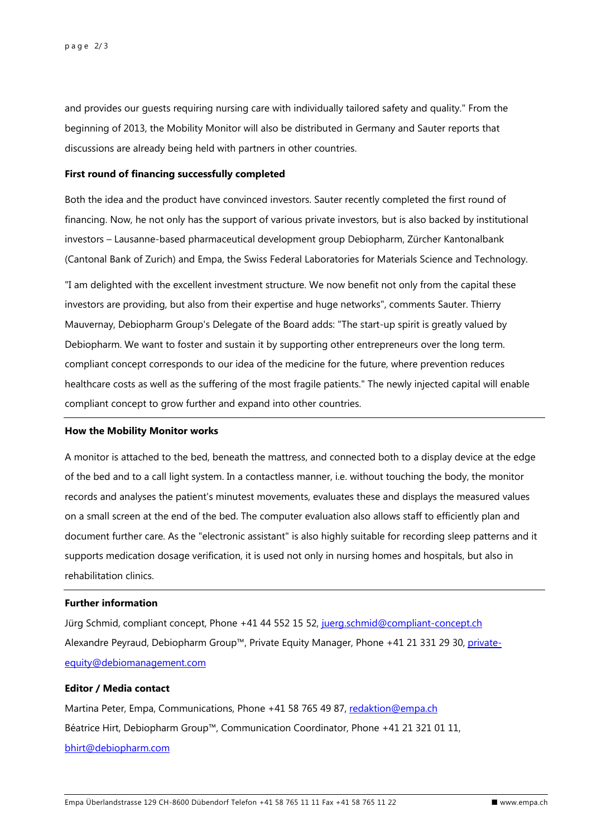and provides our guests requiring nursing care with individually tailored safety and quality." From the beginning of 2013, the Mobility Monitor will also be distributed in Germany and Sauter reports that discussions are already being held with partners in other countries.

#### **First round of financing successfully completed**

Both the idea and the product have convinced investors. Sauter recently completed the first round of financing. Now, he not only has the support of various private investors, but is also backed by institutional investors – Lausanne-based pharmaceutical development group Debiopharm, Zürcher Kantonalbank (Cantonal Bank of Zurich) and Empa, the Swiss Federal Laboratories for Materials Science and Technology.

"I am delighted with the excellent investment structure. We now benefit not only from the capital these investors are providing, but also from their expertise and huge networks", comments Sauter. Thierry Mauvernay, Debiopharm Group's Delegate of the Board adds: "The start-up spirit is greatly valued by Debiopharm. We want to foster and sustain it by supporting other entrepreneurs over the long term. compliant concept corresponds to our idea of the medicine for the future, where prevention reduces healthcare costs as well as the suffering of the most fragile patients." The newly injected capital will enable compliant concept to grow further and expand into other countries.

#### **How the Mobility Monitor works**

A monitor is attached to the bed, beneath the mattress, and connected both to a display device at the edge of the bed and to a call light system. In a contactless manner, i.e. without touching the body, the monitor records and analyses the patient's minutest movements, evaluates these and displays the measured values on a small screen at the end of the bed. The computer evaluation also allows staff to efficiently plan and document further care. As the "electronic assistant" is also highly suitable for recording sleep patterns and it supports medication dosage verification, it is used not only in nursing homes and hospitals, but also in rehabilitation clinics.

# **Further information**

Jürg Schmid, compliant concept, Phone +41 44 552 15 52, juerg.schmid@compliant-concept.ch Alexandre Peyraud, Debiopharm Group™, Private Equity Manager, Phone +41 21 331 29 30, privateequity@debiomanagement.com

# **Editor / Media contact**

Martina Peter, Empa, Communications, Phone +41 58 765 49 87, redaktion@empa.ch Béatrice Hirt, Debiopharm Group™, Communication Coordinator, Phone +41 21 321 01 11, bhirt@debiopharm.com